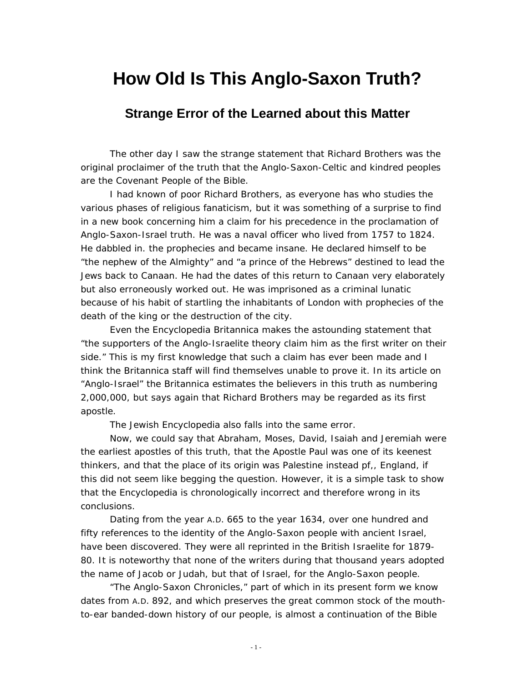## **How Old Is This Anglo-Saxon Truth?**

## **Strange Error of the Learned about this Matter**

The other day I saw the strange statement that Richard Brothers was the original proclaimer of the truth that the Anglo-Saxon-Celtic and kindred peoples are the Covenant People of the Bible.

I had known of poor Richard Brothers, as everyone has who studies the various phases of religious fanaticism, but it was something of a surprise to find in a new book concerning him a claim for his precedence in the proclamation of Anglo-Saxon-Israel truth. He was a naval officer who lived from 1757 to 1824. He dabbled in. the prophecies and became insane. He declared himself to be "the nephew of the Almighty" and "a prince of the Hebrews" destined to lead the Jews back to Canaan. He had the dates of this return to Canaan very elaborately but also erroneously worked out. He was imprisoned as a criminal lunatic because of his habit of startling the inhabitants of London with prophecies of the death of the king or the destruction of the city.

Even the *Encyclopedia Britannica* makes the astounding statement that "the supporters of the Anglo-Israelite theory claim him as the first writer on their side." This is my first knowledge that such a claim has ever been made and I think the *Britannica* staff will find themselves unable to prove it. In its article on "Anglo-Israel" the *Britannica* estimates the believers in this truth as numbering 2,000,000, but says again that Richard Brothers may be regarded as its first apostle.

The *Jewish Encyclopedia* also falls into the same error.

Now, we could say that Abraham, Moses, David, Isaiah and Jeremiah were the earliest apostles of this truth, that the Apostle Paul was one of its keenest thinkers, and that the place of its origin was Palestine instead pf,, England, if this did not seem like begging the question. However, it is a simple task to show that the *Encyclopedia* is chronologically incorrect and therefore wrong in its conclusions.

Dating from the year A.D. 665 to the year 1634, over one hundred and fifty references to the identity of the Anglo-Saxon people with ancient Israel, have been discovered. They were all reprinted in the *British Israelite* for 1879- 80. It is noteworthy that none of the writers during that thousand years adopted the name of Jacob or Judah, but that of Israel, for the Anglo-Saxon people.

"The Anglo-Saxon Chronicles," part of which in its present form we know dates from A.D. 892, and which preserves the great common stock of the mouthto-ear banded-down history of our people, is almost a continuation of the Bible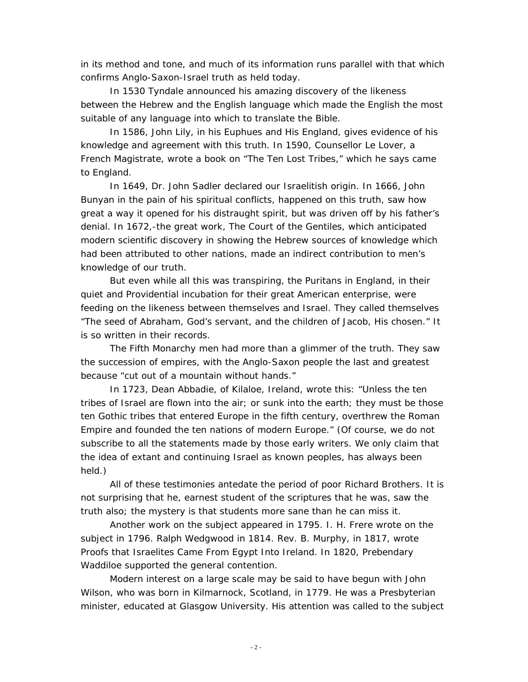in its method and tone, and much of its information runs parallel with that which confirms Anglo-Saxon-Israel truth as held today.

In 1530 Tyndale announced his amazing discovery of the likeness between the Hebrew and the English language which made the English the most suitable of any language into which to translate the Bible.

In 1586, John Lily, in his *Euphues and His England,* gives evidence of his knowledge and agreement with this truth. In 1590, Counsellor Le Lover, a French Magistrate, wrote a book on "The Ten Lost Tribes," which he says came to England.

In 1649, Dr. John Sadler declared our Israelitish origin. In 1666, John Bunyan in the pain of his spiritual conflicts, happened on this truth, saw how great a way it opened for his distraught spirit, but was driven off by his father's denial. In 1672,-the great work, *The Court of the Gentiles,* which anticipated modern scientific discovery in showing the Hebrew sources of knowledge which had been attributed to other nations, made an indirect contribution to men's knowledge of our truth.

But even while all this was transpiring, the Puritans in England, in their quiet and Providential incubation for their great American enterprise, were feeding on the likeness between themselves and Israel. They called themselves "The seed of Abraham, God's servant, and the children of Jacob, His chosen." It is so written in their records.

The Fifth Monarchy men had more than a glimmer of the truth. They saw the succession of empires, with the Anglo-Saxon people the last and greatest because "cut out of a mountain without hands."

In 1723, Dean Abbadie, of Kilaloe, Ireland, wrote this: "Unless the ten tribes of Israel are flown into the air; or sunk into the earth; they must be those ten Gothic tribes that entered Europe in the fifth century, overthrew the Roman Empire and founded the ten nations of modern Europe." (Of course, we do not subscribe to all the statements made by those early writers. We only claim that *the idea of extant and continuing Israel as known peoples,* has always been held.)

All of these testimonies antedate the period of poor Richard Brothers. It is not surprising that he, earnest student of the scriptures that he was, saw the truth also; the mystery is that students more sane than he can miss it.

Another work on the subject appeared in 1795. I. H. Frere wrote on the subject in 1796. Ralph Wedgwood in 1814. Rev. B. Murphy, in 1817, wrote *Proofs that Israelites Came From Egypt Into Ireland.* In 1820, Prebendary Waddiloe supported the general contention.

Modern interest on a large scale may be said to have begun with John Wilson, who was born in Kilmarnock, Scotland, in 1779. He was a Presbyterian minister, educated at Glasgow University. His attention was called to the subject